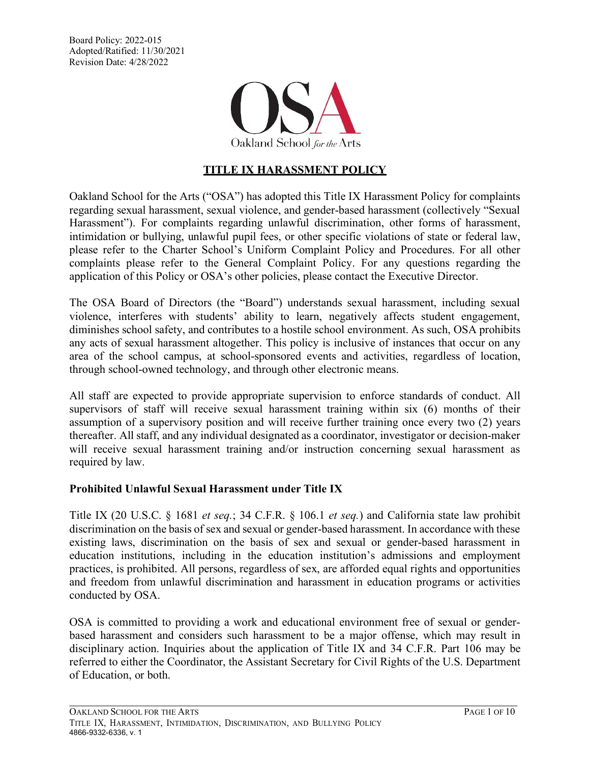Board Policy: 2022-015 Adopted/Ratified: 11/30/2021 Revision Date: 4/28/2022



# **TITLE IX HARASSMENT POLICY**

Oakland School for the Arts ("OSA") has adopted this Title IX Harassment Policy for complaints regarding sexual harassment, sexual violence, and gender-based harassment (collectively "Sexual Harassment"). For complaints regarding unlawful discrimination, other forms of harassment, intimidation or bullying, unlawful pupil fees, or other specific violations of state or federal law, please refer to the Charter School's Uniform Complaint Policy and Procedures. For all other complaints please refer to the General Complaint Policy. For any questions regarding the application of this Policy or OSA's other policies, please contact the Executive Director.

The OSA Board of Directors (the "Board") understands sexual harassment, including sexual violence, interferes with students' ability to learn, negatively affects student engagement, diminishes school safety, and contributes to a hostile school environment. As such, OSA prohibits any acts of sexual harassment altogether. This policy is inclusive of instances that occur on any area of the school campus, at school-sponsored events and activities, regardless of location, through school-owned technology, and through other electronic means.

All staff are expected to provide appropriate supervision to enforce standards of conduct. All supervisors of staff will receive sexual harassment training within six (6) months of their assumption of a supervisory position and will receive further training once every two (2) years thereafter. All staff, and any individual designated as a coordinator, investigator or decision-maker will receive sexual harassment training and/or instruction concerning sexual harassment as required by law.

#### **Prohibited Unlawful Sexual Harassment under Title IX**

Title IX (20 U.S.C. § 1681 *et seq.*; 34 C.F.R. § 106.1 *et seq.*) and California state law prohibit discrimination on the basis of sex and sexual or gender-based harassment. In accordance with these existing laws, discrimination on the basis of sex and sexual or gender-based harassment in education institutions, including in the education institution's admissions and employment practices, is prohibited. All persons, regardless of sex, are afforded equal rights and opportunities and freedom from unlawful discrimination and harassment in education programs or activities conducted by OSA.

OSA is committed to providing a work and educational environment free of sexual or genderbased harassment and considers such harassment to be a major offense, which may result in disciplinary action. Inquiries about the application of Title IX and 34 C.F.R. Part 106 may be referred to either the Coordinator, the Assistant Secretary for Civil Rights of the U.S. Department of Education, or both.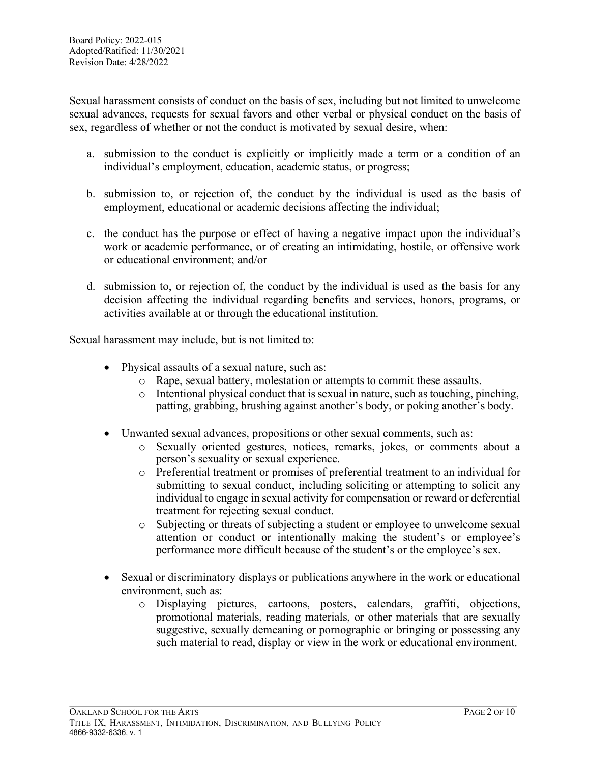Sexual harassment consists of conduct on the basis of sex, including but not limited to unwelcome sexual advances, requests for sexual favors and other verbal or physical conduct on the basis of sex, regardless of whether or not the conduct is motivated by sexual desire, when:

- a. submission to the conduct is explicitly or implicitly made a term or a condition of an individual's employment, education, academic status, or progress;
- b. submission to, or rejection of, the conduct by the individual is used as the basis of employment, educational or academic decisions affecting the individual;
- c. the conduct has the purpose or effect of having a negative impact upon the individual's work or academic performance, or of creating an intimidating, hostile, or offensive work or educational environment; and/or
- d. submission to, or rejection of, the conduct by the individual is used as the basis for any decision affecting the individual regarding benefits and services, honors, programs, or activities available at or through the educational institution.

Sexual harassment may include, but is not limited to:

- Physical assaults of a sexual nature, such as:
	- o Rape, sexual battery, molestation or attempts to commit these assaults.
	- $\circ$  Intentional physical conduct that is sexual in nature, such as touching, pinching, patting, grabbing, brushing against another's body, or poking another's body.
- Unwanted sexual advances, propositions or other sexual comments, such as:
	- o Sexually oriented gestures, notices, remarks, jokes, or comments about a person's sexuality or sexual experience.
	- o Preferential treatment or promises of preferential treatment to an individual for submitting to sexual conduct, including soliciting or attempting to solicit any individual to engage in sexual activity for compensation or reward or deferential treatment for rejecting sexual conduct.
	- o Subjecting or threats of subjecting a student or employee to unwelcome sexual attention or conduct or intentionally making the student's or employee's performance more difficult because of the student's or the employee's sex.
- Sexual or discriminatory displays or publications anywhere in the work or educational environment, such as:
	- o Displaying pictures, cartoons, posters, calendars, graffiti, objections, promotional materials, reading materials, or other materials that are sexually suggestive, sexually demeaning or pornographic or bringing or possessing any such material to read, display or view in the work or educational environment.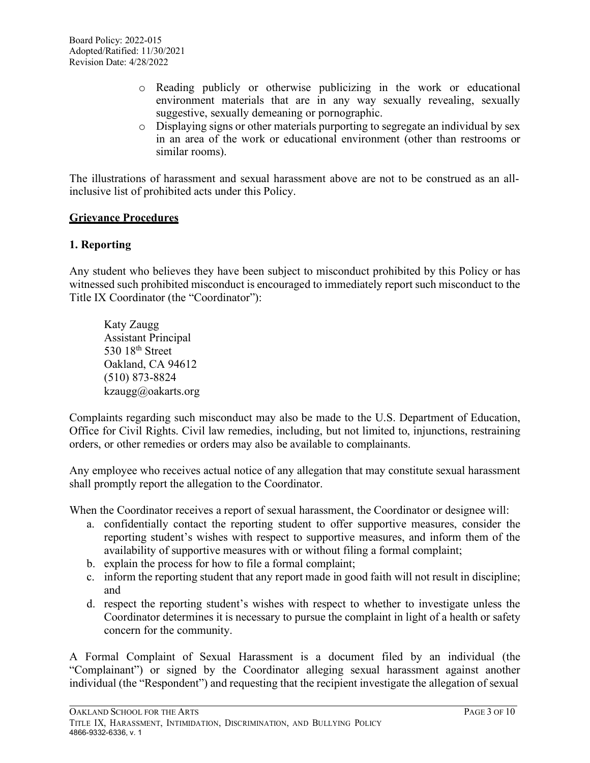- o Reading publicly or otherwise publicizing in the work or educational environment materials that are in any way sexually revealing, sexually suggestive, sexually demeaning or pornographic.
- $\circ$  Displaying signs or other materials purporting to segregate an individual by sex in an area of the work or educational environment (other than restrooms or similar rooms).

The illustrations of harassment and sexual harassment above are not to be construed as an allinclusive list of prohibited acts under this Policy.

#### **Grievance Procedures**

#### **1. Reporting**

Any student who believes they have been subject to misconduct prohibited by this Policy or has witnessed such prohibited misconduct is encouraged to immediately report such misconduct to the Title IX Coordinator (the "Coordinator"):

Katy Zaugg Assistant Principal 530 18<sup>th</sup> Street Oakland, CA 94612 (510) 873-8824 kzaugg@oakarts.org

Complaints regarding such misconduct may also be made to the U.S. Department of Education, Office for Civil Rights. Civil law remedies, including, but not limited to, injunctions, restraining orders, or other remedies or orders may also be available to complainants.

Any employee who receives actual notice of any allegation that may constitute sexual harassment shall promptly report the allegation to the Coordinator.

When the Coordinator receives a report of sexual harassment, the Coordinator or designee will:

- a. confidentially contact the reporting student to offer supportive measures, consider the reporting student's wishes with respect to supportive measures, and inform them of the availability of supportive measures with or without filing a formal complaint;
- b. explain the process for how to file a formal complaint;
- c. inform the reporting student that any report made in good faith will not result in discipline; and
- d. respect the reporting student's wishes with respect to whether to investigate unless the Coordinator determines it is necessary to pursue the complaint in light of a health or safety concern for the community.

A Formal Complaint of Sexual Harassment is a document filed by an individual (the "Complainant") or signed by the Coordinator alleging sexual harassment against another individual (the "Respondent") and requesting that the recipient investigate the allegation of sexual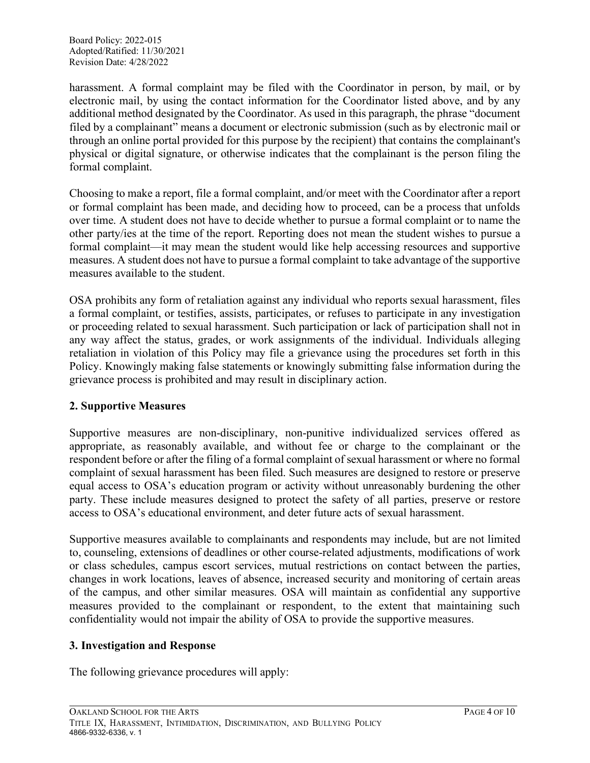Board Policy: 2022-015 Adopted/Ratified: 11/30/2021 Revision Date: 4/28/2022

harassment. A formal complaint may be filed with the Coordinator in person, by mail, or by electronic mail, by using the contact information for the Coordinator listed above, and by any additional method designated by the Coordinator. As used in this paragraph, the phrase "document filed by a complainant" means a document or electronic submission (such as by electronic mail or through an online portal provided for this purpose by the recipient) that contains the complainant's physical or digital signature, or otherwise indicates that the complainant is the person filing the formal complaint.

Choosing to make a report, file a formal complaint, and/or meet with the Coordinator after a report or formal complaint has been made, and deciding how to proceed, can be a process that unfolds over time. A student does not have to decide whether to pursue a formal complaint or to name the other party/ies at the time of the report. Reporting does not mean the student wishes to pursue a formal complaint—it may mean the student would like help accessing resources and supportive measures. A student does not have to pursue a formal complaint to take advantage of the supportive measures available to the student.

OSA prohibits any form of retaliation against any individual who reports sexual harassment, files a formal complaint, or testifies, assists, participates, or refuses to participate in any investigation or proceeding related to sexual harassment. Such participation or lack of participation shall not in any way affect the status, grades, or work assignments of the individual. Individuals alleging retaliation in violation of this Policy may file a grievance using the procedures set forth in this Policy. Knowingly making false statements or knowingly submitting false information during the grievance process is prohibited and may result in disciplinary action.

## **2. Supportive Measures**

Supportive measures are non-disciplinary, non-punitive individualized services offered as appropriate, as reasonably available, and without fee or charge to the complainant or the respondent before or after the filing of a formal complaint of sexual harassment or where no formal complaint of sexual harassment has been filed. Such measures are designed to restore or preserve equal access to OSA's education program or activity without unreasonably burdening the other party. These include measures designed to protect the safety of all parties, preserve or restore access to OSA's educational environment, and deter future acts of sexual harassment.

Supportive measures available to complainants and respondents may include, but are not limited to, counseling, extensions of deadlines or other course-related adjustments, modifications of work or class schedules, campus escort services, mutual restrictions on contact between the parties, changes in work locations, leaves of absence, increased security and monitoring of certain areas of the campus, and other similar measures. OSA will maintain as confidential any supportive measures provided to the complainant or respondent, to the extent that maintaining such confidentiality would not impair the ability of OSA to provide the supportive measures.

#### **3. Investigation and Response**

The following grievance procedures will apply: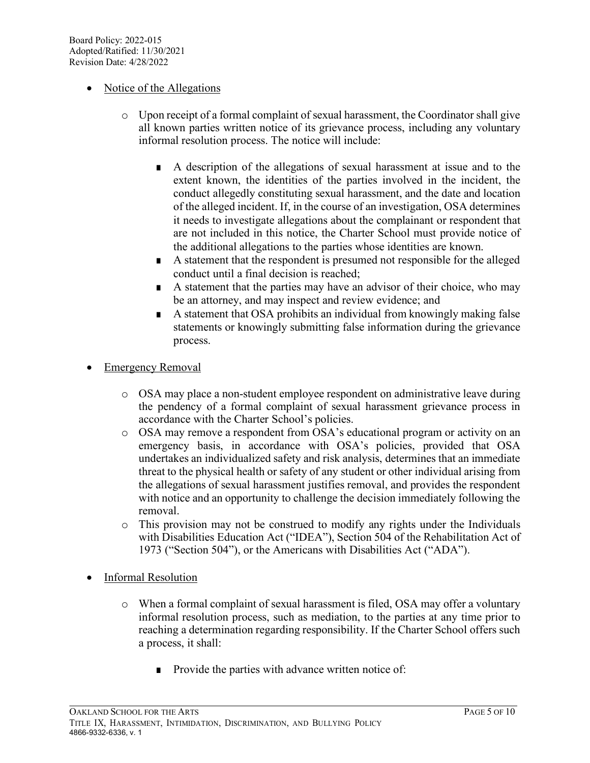## • Notice of the Allegations

- o Upon receipt of a formal complaint of sexual harassment, the Coordinator shall give all known parties written notice of its grievance process, including any voluntary informal resolution process. The notice will include:
	- A description of the allegations of sexual harassment at issue and to the extent known, the identities of the parties involved in the incident, the conduct allegedly constituting sexual harassment, and the date and location of the alleged incident. If, in the course of an investigation, OSA determines it needs to investigate allegations about the complainant or respondent that are not included in this notice, the Charter School must provide notice of the additional allegations to the parties whose identities are known.
	- A statement that the respondent is presumed not responsible for the alleged conduct until a final decision is reached;
	- A statement that the parties may have an advisor of their choice, who may be an attorney, and may inspect and review evidence; and
	- A statement that OSA prohibits an individual from knowingly making false statements or knowingly submitting false information during the grievance process.
- **Emergency Removal** 
	- o OSA may place a non-student employee respondent on administrative leave during the pendency of a formal complaint of sexual harassment grievance process in accordance with the Charter School's policies.
	- o OSA may remove a respondent from OSA's educational program or activity on an emergency basis, in accordance with OSA's policies, provided that OSA undertakes an individualized safety and risk analysis, determines that an immediate threat to the physical health or safety of any student or other individual arising from the allegations of sexual harassment justifies removal, and provides the respondent with notice and an opportunity to challenge the decision immediately following the removal.
	- o This provision may not be construed to modify any rights under the Individuals with Disabilities Education Act ("IDEA"), Section 504 of the Rehabilitation Act of 1973 ("Section 504"), or the Americans with Disabilities Act ("ADA").
- Informal Resolution
	- o When a formal complaint of sexual harassment is filed, OSA may offer a voluntary informal resolution process, such as mediation, to the parties at any time prior to reaching a determination regarding responsibility. If the Charter School offers such a process, it shall:
		- Provide the parties with advance written notice of: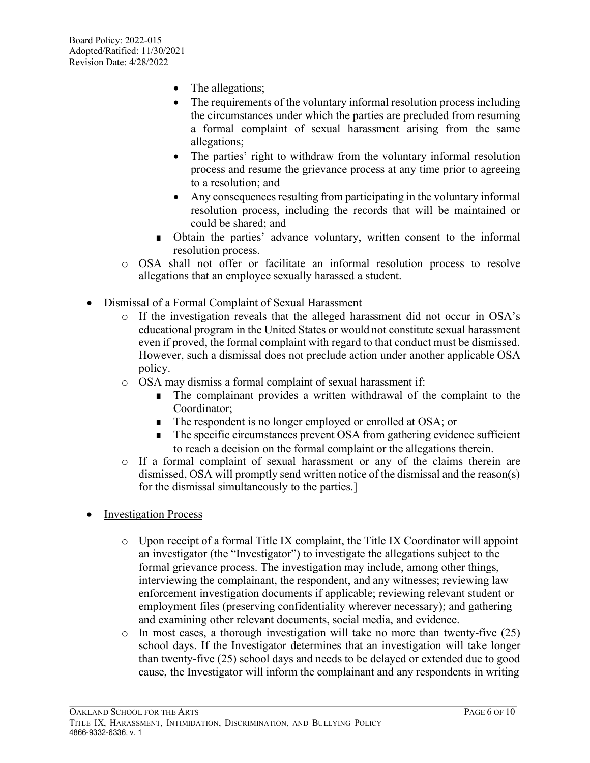- The allegations;
- The requirements of the voluntary informal resolution process including the circumstances under which the parties are precluded from resuming a formal complaint of sexual harassment arising from the same allegations;
- The parties' right to withdraw from the voluntary informal resolution process and resume the grievance process at any time prior to agreeing to a resolution; and
- Any consequences resulting from participating in the voluntary informal resolution process, including the records that will be maintained or could be shared; and
- Obtain the parties' advance voluntary, written consent to the informal resolution process.
- o OSA shall not offer or facilitate an informal resolution process to resolve allegations that an employee sexually harassed a student.
- Dismissal of a Formal Complaint of Sexual Harassment
	- o If the investigation reveals that the alleged harassment did not occur in OSA's educational program in the United States or would not constitute sexual harassment even if proved, the formal complaint with regard to that conduct must be dismissed. However, such a dismissal does not preclude action under another applicable OSA policy.
	- o OSA may dismiss a formal complaint of sexual harassment if:
		- The complainant provides a written withdrawal of the complaint to the Coordinator;
		- The respondent is no longer employed or enrolled at OSA; or
		- The specific circumstances prevent OSA from gathering evidence sufficient to reach a decision on the formal complaint or the allegations therein.
	- o If a formal complaint of sexual harassment or any of the claims therein are dismissed, OSA will promptly send written notice of the dismissal and the reason(s) for the dismissal simultaneously to the parties.]
- Investigation Process
	- o Upon receipt of a formal Title IX complaint, the Title IX Coordinator will appoint an investigator (the "Investigator") to investigate the allegations subject to the formal grievance process. The investigation may include, among other things, interviewing the complainant, the respondent, and any witnesses; reviewing law enforcement investigation documents if applicable; reviewing relevant student or employment files (preserving confidentiality wherever necessary); and gathering and examining other relevant documents, social media, and evidence.
	- $\circ$  In most cases, a thorough investigation will take no more than twenty-five (25) school days. If the Investigator determines that an investigation will take longer than twenty-five (25) school days and needs to be delayed or extended due to good cause, the Investigator will inform the complainant and any respondents in writing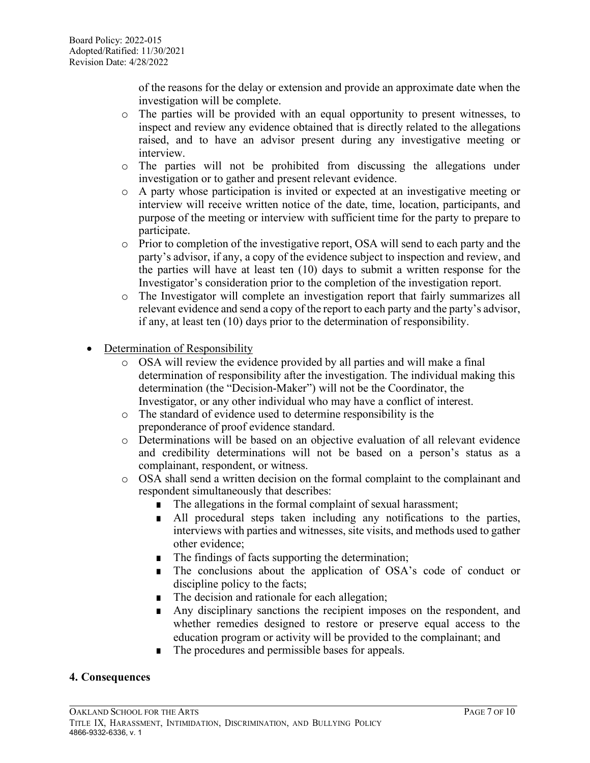of the reasons for the delay or extension and provide an approximate date when the investigation will be complete.

- o The parties will be provided with an equal opportunity to present witnesses, to inspect and review any evidence obtained that is directly related to the allegations raised, and to have an advisor present during any investigative meeting or interview.
- o The parties will not be prohibited from discussing the allegations under investigation or to gather and present relevant evidence.
- o A party whose participation is invited or expected at an investigative meeting or interview will receive written notice of the date, time, location, participants, and purpose of the meeting or interview with sufficient time for the party to prepare to participate.
- o Prior to completion of the investigative report, OSA will send to each party and the party's advisor, if any, a copy of the evidence subject to inspection and review, and the parties will have at least ten (10) days to submit a written response for the Investigator's consideration prior to the completion of the investigation report.
- o The Investigator will complete an investigation report that fairly summarizes all relevant evidence and send a copy of the report to each party and the party's advisor, if any, at least ten (10) days prior to the determination of responsibility.
- Determination of Responsibility
	- o OSA will review the evidence provided by all parties and will make a final determination of responsibility after the investigation. The individual making this determination (the "Decision-Maker") will not be the Coordinator, the Investigator, or any other individual who may have a conflict of interest.
	- o The standard of evidence used to determine responsibility is the preponderance of proof evidence standard.
	- o Determinations will be based on an objective evaluation of all relevant evidence and credibility determinations will not be based on a person's status as a complainant, respondent, or witness.
	- o OSA shall send a written decision on the formal complaint to the complainant and respondent simultaneously that describes:
		- The allegations in the formal complaint of sexual harassment;
		- All procedural steps taken including any notifications to the parties, interviews with parties and witnesses, site visits, and methods used to gather other evidence;
		- The findings of facts supporting the determination;
		- The conclusions about the application of OSA's code of conduct or discipline policy to the facts;
		- The decision and rationale for each allegation;
		- Any disciplinary sanctions the recipient imposes on the respondent, and whether remedies designed to restore or preserve equal access to the education program or activity will be provided to the complainant; and
		- The procedures and permissible bases for appeals.

## **4. Consequences**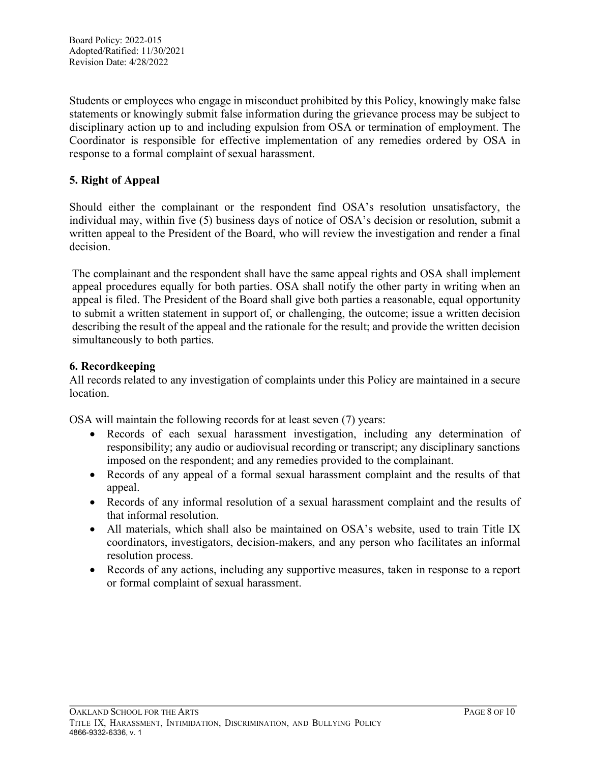Students or employees who engage in misconduct prohibited by this Policy, knowingly make false statements or knowingly submit false information during the grievance process may be subject to disciplinary action up to and including expulsion from OSA or termination of employment. The Coordinator is responsible for effective implementation of any remedies ordered by OSA in response to a formal complaint of sexual harassment.

## **5. Right of Appeal**

Should either the complainant or the respondent find OSA's resolution unsatisfactory, the individual may, within five (5) business days of notice of OSA's decision or resolution, submit a written appeal to the President of the Board, who will review the investigation and render a final decision.

The complainant and the respondent shall have the same appeal rights and OSA shall implement appeal procedures equally for both parties. OSA shall notify the other party in writing when an appeal is filed. The President of the Board shall give both parties a reasonable, equal opportunity to submit a written statement in support of, or challenging, the outcome; issue a written decision describing the result of the appeal and the rationale for the result; and provide the written decision simultaneously to both parties.

## **6. Recordkeeping**

All records related to any investigation of complaints under this Policy are maintained in a secure location.

OSA will maintain the following records for at least seven (7) years:

- Records of each sexual harassment investigation, including any determination of responsibility; any audio or audiovisual recording or transcript; any disciplinary sanctions imposed on the respondent; and any remedies provided to the complainant.
- Records of any appeal of a formal sexual harassment complaint and the results of that appeal.
- Records of any informal resolution of a sexual harassment complaint and the results of that informal resolution.
- All materials, which shall also be maintained on OSA's website, used to train Title IX coordinators, investigators, decision-makers, and any person who facilitates an informal resolution process.
- Records of any actions, including any supportive measures, taken in response to a report or formal complaint of sexual harassment.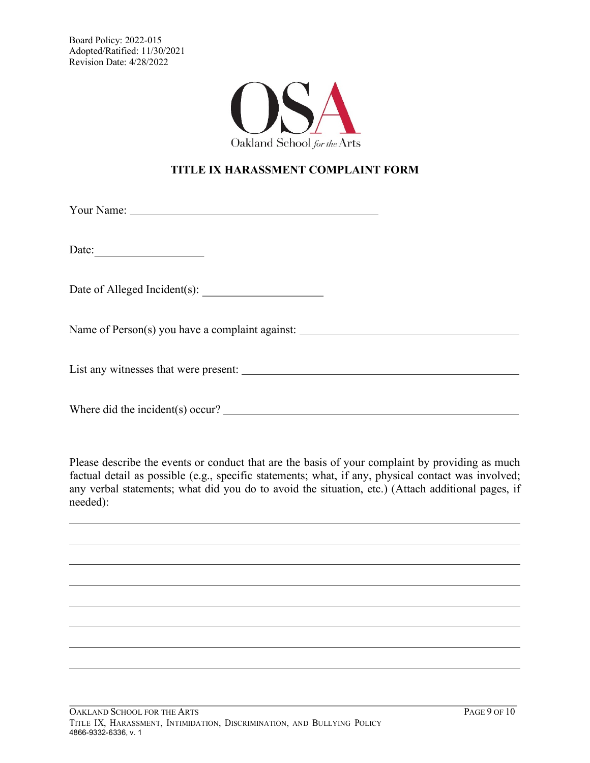

# **TITLE IX HARASSMENT COMPLAINT FORM**

Your Name:

Date:

Date of Alleged Incident(s):

Name of Person(s) you have a complaint against:

List any witnesses that were present:

Where did the incident(s) occur?

Please describe the events or conduct that are the basis of your complaint by providing as much factual detail as possible (e.g., specific statements; what, if any, physical contact was involved; any verbal statements; what did you do to avoid the situation, etc.) (Attach additional pages, if needed):